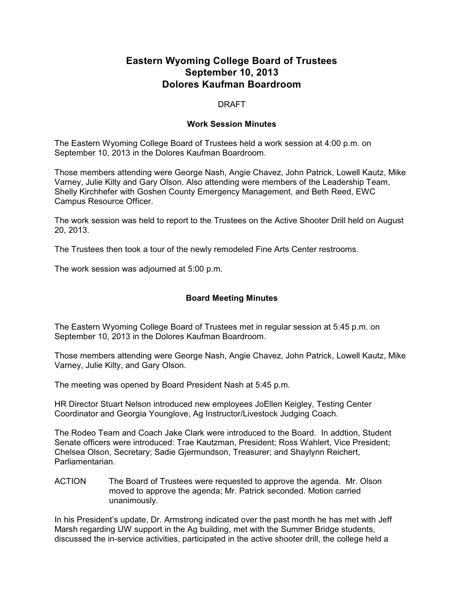## **Eastern Wyoming College Board of Trustees September 10, 2013 Dolores Kaufman Boardroom**

## DRAFT

## **Work Session Minutes**

The Eastern Wyoming College Board of Trustees held a work session at 4:00 p.m. on September 10, 2013 in the Dolores Kaufman Boardroom.

Those members attending were George Nash, Angie Chavez, John Patrick, Lowell Kautz, Mike Varney, Julie Kilty and Gary Olson. Also attending were members of the Leadership Team, Shelly Kirchhefer with Goshen County Emergency Management, and Beth Reed, EWC Campus Resource Officer.

The work session was held to report to the Trustees on the Active Shooter Drill held on August 20, 2013.

The Trustees then took a tour of the newly remodeled Fine Arts Center restrooms.

The work session was adjourned at 5:00 p.m.

## **Board Meeting Minutes**

The Eastern Wyoming College Board of Trustees met in regular session at 5:45 p.m. on September 10, 2013 in the Dolores Kaufman Boardroom.

Those members attending were George Nash, Angie Chavez, John Patrick, Lowell Kautz, Mike Varney, Julie Kilty, and Gary Olson.

The meeting was opened by Board President Nash at 5:45 p.m.

HR Director Stuart Nelson introduced new employees JoEllen Keigley, Testing Center Coordinator and Georgia Younglove, Ag Instructor/Livestock Judging Coach.

The Rodeo Team and Coach Jake Clark were introduced to the Board. In addtion, Student Senate officers were introduced: Trae Kautzman, President; Ross Wahlert, Vice President; Chelsea Olson, Secretary; Sadie Gjermundson, Treasurer; and Shaylynn Reichert, Parliamentarian.

ACTION The Board of Trustees were requested to approve the agenda. Mr. Olson moved to approve the agenda; Mr. Patrick seconded. Motion carried unanimously.

In his President's update, Dr. Armstrong indicated over the past month he has met with Jeff Marsh regarding UW support in the Ag building, met with the Summer Bridge students, discussed the in-service activities, participated in the active shooter drill, the college held a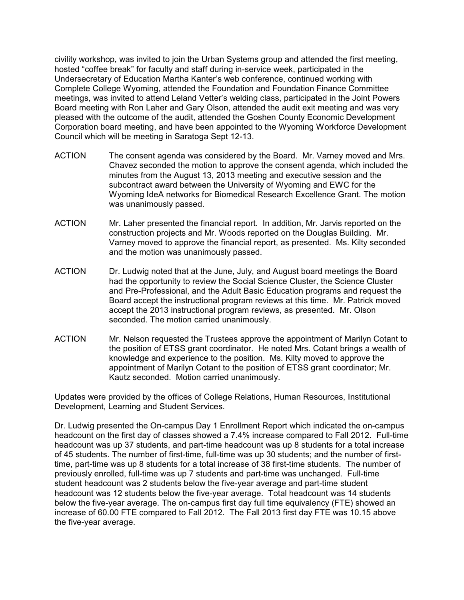civility workshop, was invited to join the Urban Systems group and attended the first meeting, hosted "coffee break" for faculty and staff during in-service week, participated in the Undersecretary of Education Martha Kanter's web conference, continued working with Complete College Wyoming, attended the Foundation and Foundation Finance Committee meetings, was invited to attend Leland Vetter's welding class, participated in the Joint Powers Board meeting with Ron Laher and Gary Olson, attended the audit exit meeting and was very pleased with the outcome of the audit, attended the Goshen County Economic Development Corporation board meeting, and have been appointed to the Wyoming Workforce Development Council which will be meeting in Saratoga Sept 12-13.

- ACTION The consent agenda was considered by the Board. Mr. Varney moved and Mrs. Chavez seconded the motion to approve the consent agenda, which included the minutes from the August 13, 2013 meeting and executive session and the subcontract award between the University of Wyoming and EWC for the Wyoming IdeA networks for Biomedical Research Excellence Grant. The motion was unanimously passed.
- ACTION Mr. Laher presented the financial report. In addition, Mr. Jarvis reported on the construction projects and Mr. Woods reported on the Douglas Building. Mr. Varney moved to approve the financial report, as presented. Ms. Kilty seconded and the motion was unanimously passed.
- ACTION Dr. Ludwig noted that at the June, July, and August board meetings the Board had the opportunity to review the Social Science Cluster, the Science Cluster and Pre-Professional, and the Adult Basic Education programs and request the Board accept the instructional program reviews at this time. Mr. Patrick moved accept the 2013 instructional program reviews, as presented. Mr. Olson seconded. The motion carried unanimously.
- ACTION Mr. Nelson requested the Trustees approve the appointment of Marilyn Cotant to the position of ETSS grant coordinator. He noted Mrs. Cotant brings a wealth of knowledge and experience to the position. Ms. Kilty moved to approve the appointment of Marilyn Cotant to the position of ETSS grant coordinator; Mr. Kautz seconded. Motion carried unanimously.

Updates were provided by the offices of College Relations, Human Resources, Institutional Development, Learning and Student Services.

Dr. Ludwig presented the On-campus Day 1 Enrollment Report which indicated the on-campus headcount on the first day of classes showed a 7.4% increase compared to Fall 2012. Full-time headcount was up 37 students, and part-time headcount was up 8 students for a total increase of 45 students. The number of first-time, full-time was up 30 students; and the number of firsttime, part-time was up 8 students for a total increase of 38 first-time students. The number of previously enrolled, full-time was up 7 students and part-time was unchanged. Full-time student headcount was 2 students below the five-year average and part-time student headcount was 12 students below the five-year average. Total headcount was 14 students below the five-year average. The on-campus first day full time equivalency (FTE) showed an increase of 60.00 FTE compared to Fall 2012. The Fall 2013 first day FTE was 10.15 above the five-year average.